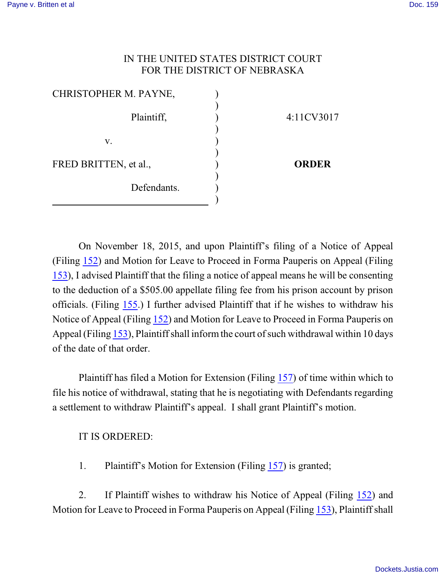## IN THE UNITED STATES DISTRICT COURT FOR THE DISTRICT OF NEBRASKA

| CHRISTOPHER M. PAYNE, |              |
|-----------------------|--------------|
| Plaintiff,            | 4:11CV3017   |
| V.                    |              |
| FRED BRITTEN, et al., | <b>ORDER</b> |
| Defendants.           |              |

On November 18, 2015, and upon Plaintiff's filing of a Notice of Appeal (Filing [152](https://ecf.ned.uscourts.gov/doc1/11313400051)) and Motion for Leave to Proceed in Forma Pauperis on Appeal (Filing [153](https://ecf.ned.uscourts.gov/doc1/11313400054)), I advised Plaintiff that the filing a notice of appeal means he will be consenting to the deduction of a \$505.00 appellate filing fee from his prison account by prison officials. (Filing [155](https://ecf.ned.uscourts.gov/doc1/11313401978).) I further advised Plaintiff that if he wishes to withdraw his Notice of Appeal (Filing [152](https://ecf.ned.uscourts.gov/doc1/11313400051)) and Motion for Leave to Proceed in Forma Pauperis on Appeal (Filing [153](https://ecf.ned.uscourts.gov/doc1/11313400054)), Plaintiff shall informthe court of such withdrawal within 10 days of the date of that order.

Plaintiff has filed a Motion for Extension (Filing [157](https://ecf.ned.uscourts.gov/doc1/11313407782)) of time within which to file his notice of withdrawal, stating that he is negotiating with Defendants regarding a settlement to withdraw Plaintiff's appeal. I shall grant Plaintiff's motion.

IT IS ORDERED:

1. Plaintiff's Motion for Extension (Filing [157](https://ecf.ned.uscourts.gov/doc1/11313407782)) is granted;

2. If Plaintiff wishes to withdraw his Notice of Appeal (Filing [152](https://ecf.ned.uscourts.gov/doc1/11313400051)) and Motion for Leave to Proceed in Forma Pauperis on Appeal (Filing [153](https://ecf.ned.uscourts.gov/doc1/11313400054)), Plaintiff shall